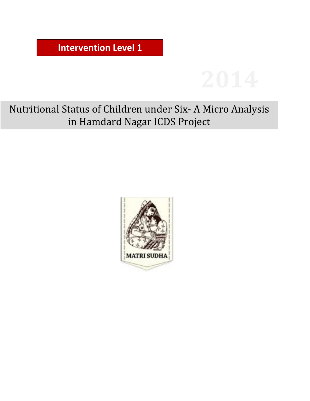**Intervention Level 1**



Nutritional Status of Children under Six- A Micro Analysis in Hamdard Nagar ICDS Project

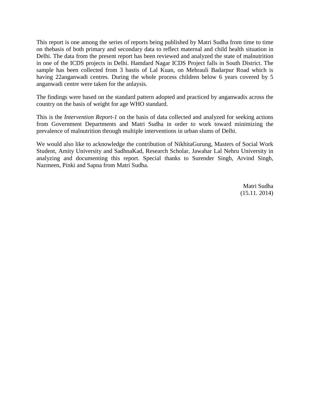This report is one among the series of reports being published by Matri Sudha from time to time on thebasis of both primary and secondary data to reflect maternal and child health situation in Delhi. The data from the present report has been reviewed and analyzed the state of malnutrition in one of the ICDS projects in Delhi. Hamdard Nagar ICDS Project falls in South District. The sample has been collected from 3 bastis of Lal Kuan, on Mehrauli Badarpur Road which is having 22anganwadi centres. During the whole process children below 6 years covered by 5 anganwadi centre were taken for the anlaysis.

The findings were based on the standard pattern adopted and practiced by anganwadis across the country on the basis of weight for age WHO standard.

This is the *Intervention Report-1* on the basis of data collected and analyzed for seeking actions from Government Departments and Matri Sudha in order to work toward minimizing the prevalence of malnutrition through multiple interventions in urban slums of Delhi.

We would also like to acknowledge the contribution of NikhitaGurung, Masters of Social Work Student, Amity University and SadhnaKad, Research Scholar, Jawahar Lal Nehru University in analyzing and documenting this report. Special thanks to Surender Singh, Arvind Singh, Nazmeen, Pinki and Sapna from Matri Sudha.

> Matri Sudha (15.11. 2014)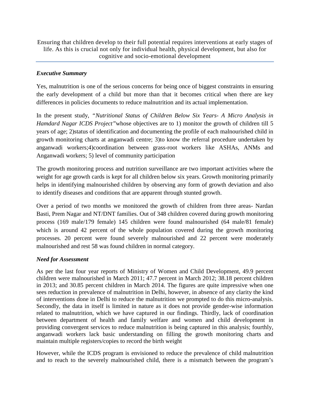Ensuring that children develop to their full potential requires interventions at early stages of life. As this is crucial not only for individual health, physical development, but also for cognitive and socio-emotional development

#### *Executive Summary*

Yes, malnutrition is one of the serious concerns for being once of biggest constraints in ensuring the early development of a child but more than that it becomes critical when there are key differences in policies documents to reduce malnutrition and its actual implementation.

In the present study, *"Nutritional Status of Children Below Six Years- A Micro Analysis in Hamdard Nagar ICDS Project"*whose objectives are to 1) monitor the growth of children till 5 years of age; 2)status of identification and documenting the profile of each malnourished child in growth monitoring charts at anganwadi centre; 3)to know the referral procedure undertaken by anganwadi workers;4)coordination between grass-root workers like ASHAs, ANMs and Anganwadi workers; 5) level of community participation

The growth monitoring process and nutrition surveillance are two important activities where the weight for age growth cards is kept for all children below six years. Growth monitoring primarily helps in identifying malnourished children by observing any form of growth deviation and also to identify diseases and conditions that are apparent through stunted growth.

Over a period of two months we monitored the growth of children from three areas- Nardan Basti, Prem Nagar and NT/DNT families. Out of 348 children covered during growth monitoring process (169 male/179 female) 145 children were found malnourished (64 male/81 female) which is around 42 percent of the whole population covered during the growth monitoring processes. 20 percent were found severely malnourished and 22 percent were moderately malnourished and rest 58 was found children in normal category.

## *Need for Assessment*

As per the last four year reports of Ministry of Women and Child Development, 49.9 percent children were malnourished in March 2011; 47.7 percent in March 2012; 38.18 percent children in 2013; and 30.85 percent children in March 2014. The figures are quite impressive when one sees reduction in prevalence of malnutrition in Delhi, however, in absence of any clarity the kind of interventions done in Delhi to reduce the malnutrition we prompted to do this micro-analysis. Secondly, the data in itself is limited in nature as it does not provide gender-wise information related to malnutrition, which we have captured in our findings. Thirdly, lack of coordination between department of health and family welfare and women and child development in providing convergent services to reduce malnutrition is being captured in this analysis; fourthly, anganwadi workers lack basic understanding on filling the growth monitoring charts and maintain multiple registers/copies to record the birth weight

However, while the ICDS program is envisioned to reduce the prevalence of child malnutrition and to reach to the severely malnourished child, there is a mismatch between the program's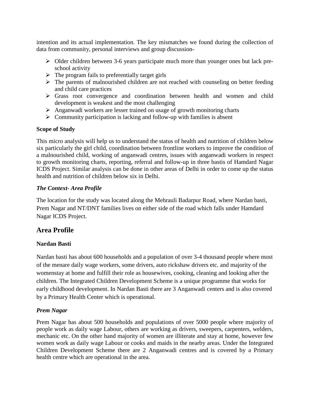intention and its actual implementation. The key mismatches we found during the collection of data from community, personal interviews and group discussion-

- $\triangleright$  Older children between 3-6 years participate much more than younger ones but lack preschool activity
- $\triangleright$  The program fails to preferentially target girls
- $\triangleright$  The parents of malnourished children are not reached with counseling on better feeding and child care practices
- Grass root convergence and coordination between health and women and child development is weakest and the most challenging
- $\triangleright$  Anganwadi workers are lesser trained on usage of growth monitoring charts
- $\triangleright$  Community participation is lacking and follow-up with families is absent

## **Scope of Study**

This micro analysis will help us to understand the status of health and nutrition of children below six particularly the girl child, coordination between frontline workers to improve the condition of a malnourished child, working of anganwadi centres, issues with anganwadi workers in respect to growth monitoring charts, reporting, referral and follow-up in three bastis of Hamdard Nagar ICDS Project. Similar analysis can be done in other areas of Delhi in order to come up the status health and nutrition of children below six in Delhi.

## *The Context- Area Profile*

The location for the study was located along the Mehrauli Badarpur Road, where Nardan basti, Prem Nagar and NT/DNT families lives on either side of the road which falls under Hamdard Nagar ICDS Project.

## **Area Profile**

## **Nardan Basti**

Nardan basti has about 600 households and a population of over 3-4 thousand people where most of the menare daily wage workers, some drivers, auto rickshaw drivers etc. and majority of the womenstay at home and fulfill their role as housewives, cooking, cleaning and looking after the children. The Integrated Children Development Scheme is a unique programme that works for early childhood development. In Nardan Basti there are 3 Anganwadi centers and is also covered by a Primary Health Center which is operational.

## *Prem Nagar*

Prem Nagar has about 500 households and populations of over 5000 people where majority of people work as daily wage Labour, others are working as drivers, sweepers, carpenters, welders, mechanic etc. On the other hand majority of women are illiterate and stay at home, however few women work as daily wage Labour or cooks and maids in the nearby areas. Under the Integrated Children Development Scheme there are 2 Anganwadi centres and is covered by a Primary health centre which are operational in the area.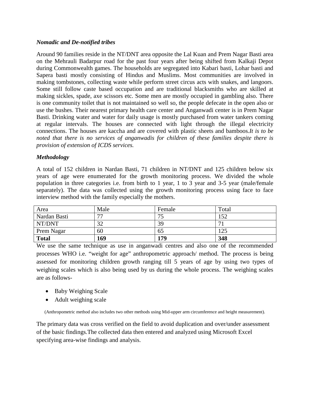#### *Nomadic and De-notified tribes*

Around 90 families reside in the NT/DNT area opposite the Lal Kuan and Prem Nagar Basti area on the Mehrauli Badarpur road for the past four years after being shifted from Kalkaji Depot during Commonwealth games. The households are segregated into Kabari basti, Lohar basti and Sapera basti mostly consisting of Hindus and Muslims. Most communities are involved in making tombstones, collecting waste while perform street circus acts with snakes, and langoors. Some still follow caste based occupation and are traditional blacksmiths who are skilled at making sickles, spade, axe scissors etc. Some men are mostly occupied in gambling also. There is one community toilet that is not maintained so well so, the people defecate in the open also or use the bushes. Their nearest primary health care center and Anganwadi center is in Prem Nagar Basti. Drinking water and water for daily usage is mostly purchased from water tankers coming at regular intervals. The houses are connected with light through the illegal electricity connections. The houses are kaccha and are covered with plastic sheets and bamboos.*It is to be noted that there is no services of anganwadis for children of these families despite there is provision of extension of ICDS services.*

#### *Methodology*

A total of 152 children in Nardan Basti, 71 children in NT/DNT and 125 children below six years of age were enumerated for the growth monitoring process. We divided the whole population in three categories i.e. from birth to 1 year, 1 to 3 year and 3-5 year (male/female separately). The data was collected using the growth monitoring process using face to face interview method with the family especially the mothers.

| Area         | Male | Female | Total |
|--------------|------|--------|-------|
| Nardan Basti | 77   | 75     | 152   |
| NT/DNT       | 32   | 39     | ⇁     |
| Prem Nagar   | 60   | 65     | 125   |
| <b>Total</b> | 169  | 179    | 348   |

We use the same technique as use in anganwadi centres and also one of the recommended processes WHO i.e. "weight for age" anthropometric approach/ method. The process is being assessed for monitoring children growth ranging till 5 years of age by using two types of weighing scales which is also being used by us during the whole process. The weighing scales are as follows-

- Baby Weighing Scale
- Adult weighing scale

(Anthropometric method also includes two other methods using Mid-upper arm circumference and height measurement).

The primary data was cross verified on the field to avoid duplication and over/under assessment of the basic findings.The collected data then entered and analyzed using Microsoft Excel specifying area-wise findings and analysis.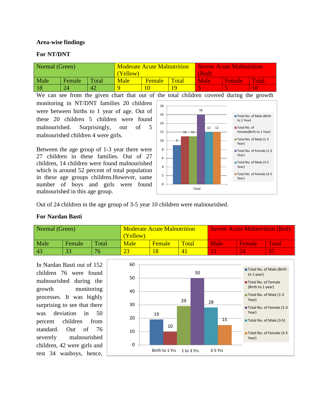#### **Area-wise findings**

#### **For NT/DNT**

| Normal (Green) |        |       | Yellow) | <b>Moderate Acute Malnutrition</b> |       | <b>Severe Acute Malnutrition</b><br>(Red) |        |              |  |
|----------------|--------|-------|---------|------------------------------------|-------|-------------------------------------------|--------|--------------|--|
| Male           | Female | Total | Male    | <b>Female</b>                      | Total | Male                                      | Female | <b>Total</b> |  |
|                |        | 42    |         |                                    | 1 Q   |                                           |        |              |  |

We can see from the given chart that out of the total children covered during the growth

monitoring in NT/DNT families 20 children were between births to 1 year of age. Out of these 20 children 5 children were found malnourished. Surprisingly, out of 5 malnourished children 4 were girls.

Between the age group of 1-3 year there were 27 children in these families. Out of 27 children, 14 children were found malnourished which is around 52 percent of total population in these age groups children.However, same number of boys and girls were found malnourished in this age group.



Out of 24 children in the age group of 3-5 year 10 children were malnourished.

#### **For Nardan Basti**

| Normal (Green) |        |       | (Yellow) | <b>Moderate Acute Malnutrition</b> |       | <b>Severe Acute Malnutrition (Red)</b> |        |              |  |
|----------------|--------|-------|----------|------------------------------------|-------|----------------------------------------|--------|--------------|--|
| Male           | Female | Total | Male     | Female                             | Total | Male                                   | Female | <b>Votal</b> |  |
|                | 33     | 76    | Z.       |                                    |       |                                        |        |              |  |

In Nardan Basti out of 152 children 76 were found malnourished during the growth monitoring processes. It was highly surprising to see that there was deviation in 50 percent children from standard. Out of 76 severely malnourished children, 42 were girls and rest 34 wasboys, hence,

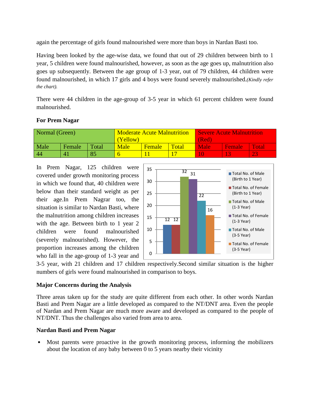again the percentage of girls found malnourished were more than boys in Nardan Basti too.

Having been looked by the age-wise data, we found that out of 29 children between birth to 1 year, 5 children were found malnourished, however, as soon as the age goes up, malnutrition also goes up subsequently. Between the age group of 1-3 year, out of 79 children, 44 children were found malnourished, in which 17 girls and 4 boys were found severely malnourished.*(Kindly refer the chart).*

There were 44 children in the age-group of 3-5 year in which 61 percent children were found malnourished.

| Normal (Green) |                |              |             | <b>Moderate Acute Malnutrition</b> |       | <b>Severe Acute Malnutrition</b> |               |              |  |
|----------------|----------------|--------------|-------------|------------------------------------|-------|----------------------------------|---------------|--------------|--|
|                |                |              | (Yellow)    |                                    |       | (Red)                            |               |              |  |
| Male           | Female         | <b>Total</b> | <b>Male</b> | <b>Female</b>                      | Total | Male                             | <b>Female</b> | <b>Total</b> |  |
| 44             | $\overline{4}$ | 85           |             |                                    |       |                                  |               |              |  |

## **For Prem Nagar**

In Prem Nagar, 125 children were covered under growth monitoring process in which we found that, 40 children were below than their standard weight as per their age.In Prem Nagrar too, the situation is similar to Nardan Basti, where the malnutrition among children increases with the age. Between birth to 1 year 2 children were found malnourished (severely malnourished). However, the proportion increases among the children who fall in the age-group of 1-3 year and



3-5 year, with 21 children and 17 children respectively.Second similar situation is the higher numbers of girls were found malnourished in comparison to boys.

## **Major Concerns during the Analysis**

Three areas taken up for the study are quite different from each other. In other words Nardan Basti and Prem Nagar are a little developed as compared to the NT/DNT area. Even the people of Nardan and Prem Nagar are much more aware and developed as compared to the people of NT/DNT. Thus the challenges also varied from area to area.

## **Nardan Basti and Prem Nagar**

Most parents were proactive in the growth monitoring process, informing the mobilizers about the location of any baby between 0 to 5 years nearby their vicinity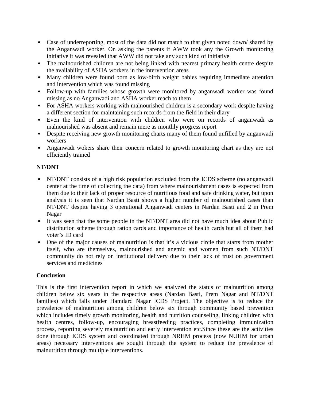- Case of underreporting, most of the data did not match to that given noted down/ shared by the Anganwadi worker. On asking the parents if AWW took any the Growth monitoring initiative it was revealed that AWW did not take any such kind of initiative
- The malnourished children are not being linked with nearest primary health centre despite the availability of ASHA workers in the intervention areas
- Many children were found born as low-birth weight babies requiring immediate attention and intervention which was found missing
- Follow-up with families whose growth were monitored by anganwadi worker was found missing as no Anganwadi and ASHA worker reach to them
- For ASHA workers working with malnourished children is a secondary work despite having a different section for maintaining such records from the field in their diary
- Even the kind of intervention with children who were on records of anganwadi as malnourished was absent and remain mere as monthly progress report
- Despite receiving new growth monitoring charts many of them found unfilled by anganwadi workers
- Anganwadi wokers share their concern related to growth monitoring chart as they are not efficiently trained

## **NT/DNT**

- NT/DNT consists of a high risk population excluded from the ICDS scheme (no anganwadi center at the time of collecting the data) from where malnourishment cases is expected from them due to their lack of proper resource of nutritious food and safe drinking water, but upon analysis it is seen that Nardan Basti shows a higher number of malnourished cases than NT/DNT despite having 3 operational Anganwadi centers in Nardan Basti and 2 in Prem Nagar
- It was seen that the some people in the NT/DNT area did not have much idea about Public distribution scheme through ration cards and importance of health cards but all of them had voter's ID card
- One of the major causes of malnutrition is that it's a vicious circle that starts from mother itself, who are themselves, malnourished and anemic and women from such NT/DNT community do not rely on institutional delivery due to their lack of trust on government services and medicines

## **Conclusion**

This is the first intervention report in which we analyzed the status of malnutrition among children below six years in the respective areas (Nardan Basti, Prem Nagar and NT/DNT families) which falls under Hamdard Nagar ICDS Project. The objective is to reduce the prevalence of malnutrition among children below six through community based prevention which includes timely growth monitoring, health and nutrition counseling, linking children with health centres, follow-up, encouraging breastfeeding practices, completing immunization process, reporting severely malnutrition and early intervention etc.Since these are the activities done through ICDS system and coordinated through NRHM process (now NUHM for urban areas) necessary interventions are sought through the system to reduce the prevalence of malnutrition through multiple interventions.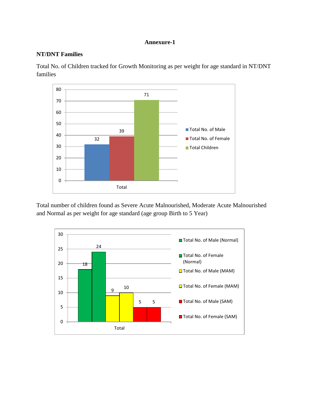#### **Annexure-1**

#### **NT/DNT Families**

Total No. of Children tracked for Growth Monitoring as per weight for age standard in NT/DNT families



Total number of children found as Severe Acute Malnourished, Moderate Acute Malnourished and Normal as per weight for age standard (age group Birth to 5 Year)

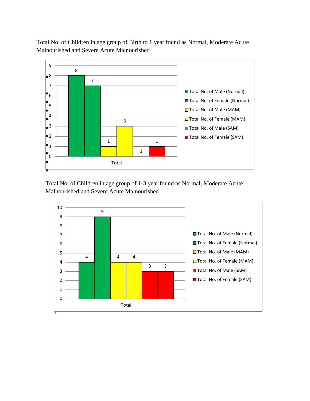Total No. of Children in age group of Birth to 1 year found as Normal, Moderate Acute Malnourished and Severe Acute Malnourished



Total No. of Children in age group of 1-3 year found as Normal, Moderate Acute Malnourished and Severe Acute Malnourished

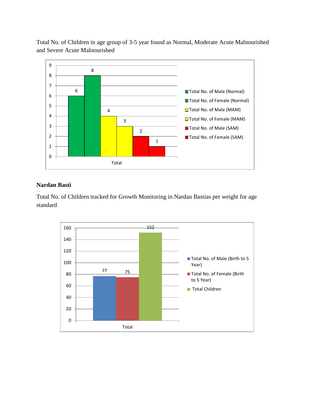Total No. of Children in age group of 3-5 year found as Normal, Moderate Acute Malnourished and Severe Acute Malnourished



## **Nardan Basti**

Total No. of Children tracked for Growth Monitoring in Nardan Bastias per weight for age standard

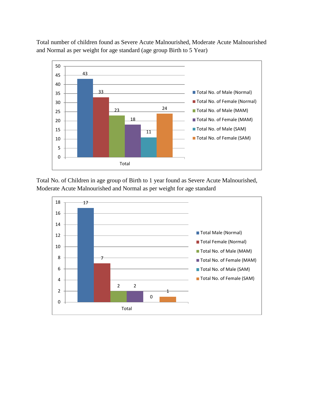Total number of children found as Severe Acute Malnourished, Moderate Acute Malnourished and Normal as per weight for age standard (age group Birth to 5 Year)



Total No. of Children in age group of Birth to 1 year found as Severe Acute Malnourished, Moderate Acute Malnourished and Normal as per weight for age standard

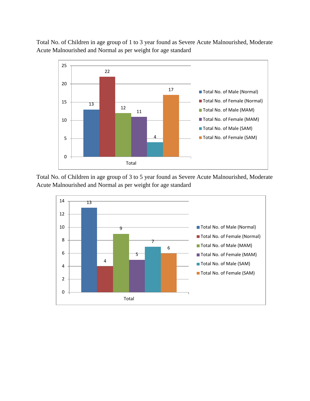Total No. of Children in age group of 1 to 3 year found as Severe Acute Malnourished, Moderate Acute Malnourished and Normal as per weight for age standard



Total No. of Children in age group of 3 to 5 year found as Severe Acute Malnourished, Moderate Acute Malnourished and Normal as per weight for age standard

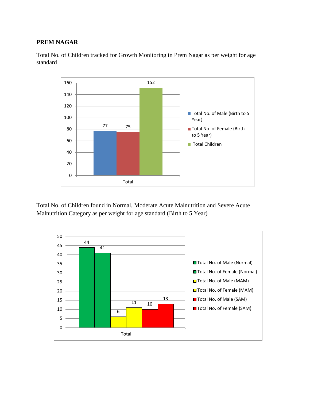#### **PREM NAGAR**



Total No. of Children tracked for Growth Monitoring in Prem Nagar as per weight for age standard

Total No. of Children found in Normal, Moderate Acute Malnutrition and Severe Acute Malnutrition Category as per weight for age standard (Birth to 5 Year)

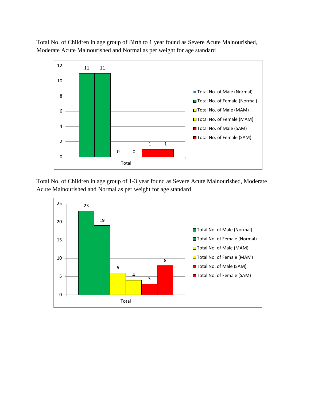Total No. of Children in age group of Birth to 1 year found as Severe Acute Malnourished, Moderate Acute Malnourished and Normal as per weight for age standard



Total No. of Children in age group of 1-3 year found as Severe Acute Malnourished, Moderate Acute Malnourished and Normal as per weight for age standard

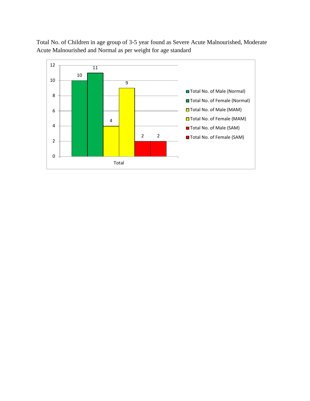Total No. of Children in age group of 3-5 year found as Severe Acute Malnourished, Moderate Acute Malnourished and Normal as per weight for age standard

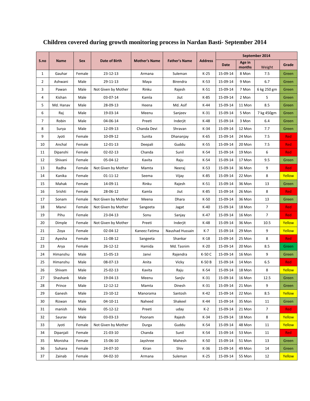|              |             |            |                     |                      |                      |                |          |                  | September 2014 |            |
|--------------|-------------|------------|---------------------|----------------------|----------------------|----------------|----------|------------------|----------------|------------|
| S.no         | <b>Name</b> | <b>Sex</b> | Date of Birth       | <b>Mother's Name</b> | <b>Father's Name</b> | <b>Address</b> | Date     | Age in<br>months | Weight         | Grade      |
| $\mathbf{1}$ | Gauhar      | Female     | 23-12-13            | Armana               | Suleman              | $K-25$         | 15-09-14 | 8 Mon            | 7.5            | Green      |
| 2            | Ashwani     | Male       | 29-11-13            | Maya                 | Birendra             | K-53           | 15-09-14 | 9 Mon            | 6.7            | Green      |
| 3            | Pawan       | Male       | Not Given by Mother | Rinku                | Rajesh               | $K-51$         | 15-09-14 | 7 Mon            | 6 kg 250 gm    | Green      |
| 4            | Kishan      | Male       | 03-07-14            | Kamla                | Jiut                 | K-85           | 15-09-14 | 2 Mon            | 5              | Green      |
| 5            | Md. Hanav   | Male       | 28-09-13            | Heena                | Md. Asif             | $K-44$         | 15-09-14 | 11 Mon           | 8.5            | Green      |
| 6            | Raj         | Male       | 19-03-14            | Meenu                | Sanjeev              | K-31           | 15-09-14 | 5 Mon            | 7 kg 450gm     | Green      |
| 7            | Robin       | Male       | 04-06-14            | Preeti               | Inderjit             | $K-48$         | 15-09-14 | 3 Mon            | 6.4            | Green      |
| 8            | Surya       | Male       | 12-09-13            | Chanda Devi          | Shravan              | $K-34$         | 15-09-14 | 12 Mon           | 7.7            | Green      |
| 9            | Jyoti       | Female     | 10-09-12            | Sunita               | Dhananjay            | K-65           | 15-09-14 | 24 Mon           | 7.5            | <b>Red</b> |
| 10           | Anchal      | Female     | 12-01-13            | Deepali              | Guddu                | $K-55$         | 15-09-14 | 20 Mon           | 7.5            | Red        |
| 11           | Dipanshi    | Female     | 02-02-13            | Chanda               | Sunil                | K-54           | 15-09-14 | 19 Mon           | 6              | Red        |
| 12           | Shivani     | Female     | 05-04-12            | Kavita               | Raju                 | K-54           | 15-09-14 | 17 Mon           | 9.5            | Green      |
| 13           | Radha       | Female     | Not Given by Mother | Mamta                | Neeraj               | $K-53$         | 15-09-14 | 36 Mon           | 9              | <b>Red</b> |
| 14           | Kanika      | Female     | 01-11-12            | Seema                | Vijay                | K-85           | 15-09-14 | 22 Mon           | 8              | Yellow     |
| 15           | Mahak       | Female     | 14-09-11            | Rinku                | Rajesh               | $K-51$         | 15-09-14 | 36 Mon           | 13             | Green      |
| 16           | Srishti     | Female     | 28-06-12            | Kamla                | Jiut                 | $K-85$         | 15-09-14 | 26 Mon           | 8              | <b>Red</b> |
| 17           | Sonam       | Female     | Not Given by Mother | Meena                | Dhara                | $K-50$         | 15-09-14 | 36 Mon           | 13             | Green      |
| 18           | Manvi       | Female     | Not Given by Mother | Sangeeta             | Jagat                | $K-40$         | 15-09-14 | 18 Mon           | $\overline{7}$ | <b>Red</b> |
| 19           | Pihu        | Female     | 23-04-13            | Sonu                 | Sanjay               | K-47           | 15-09-14 | 16 Mon           | $\overline{7}$ | <b>Red</b> |
| 20           | Dimple      | Female     | Not Given by Mother | Preeti               | Inderjit             | $K-48$         | 15-09-14 | 36 Mon           | 10.5           | Yellow     |
| 21           | Zoya        | Female     | 02-04-12            | Kaneez Fatima        | Naushad Hussain      | $K-7$          | 15-09-14 | 29 Mon           | 9              | Yellow     |
| 22           | Ayesha      | Female     | 11-08-12            | Sangeeta             | Shankar              | $K-18$         | 15-09-14 | 25 Mon           | 8              | <b>Red</b> |
| 23           | Arya        | Female     | 26-12-12            | Hamida               | Md. Tasnim           | $K-20$         | 15-09-14 | 20 Mon           | 8.5            | Green      |
| 24           | Himanshu    | Male       | 15-05-13            | Janvi                | Rajendra             | K-50 C         | 15-09-14 | 16 Mon           | 9              | Green      |
| 25           | Himanshu    | Male       | 08-07-13            | Anita                | Vicky                | K-50 B         | 15-09-14 | 14 Mon           | 6.5            | <b>Red</b> |
| 26           | Shivam      | Male       | 25-02-13            | Kavita               | Raju                 | K-54           | 15-09-14 | 18 Mon           | 8              | Yellow     |
| 27           | Shashank    | Male       | 19-04-13            | Meenu                | Sanjiv               | $K-31$         | 15-09-14 | 16 Mon           | 12.5           | Green      |
| 28           | Prince      | Male       | 12-12-12            | Mamta                | Dinesh               | $K-31$         | 15-09-14 | 21 Mon           | 9              | Green      |
| 29           | Ganesh      | Male       | $23 - 10 - 12$      | Manorama             | Santosh              | $K-42$         | 15-09-14 | 22 Mon           | 8.5            | Yellow     |
| 30           | Rizwan      | Male       | 04-10-11            | Naheed               | Shakeel              | K-44           | 15-09-14 | 35 Mon           | 11             | Green      |
| 31           | manish      | Male       | $05 - 12 - 12$      | Preeti               | uday                 | K-2            | 15-09-14 | 21 Mon           | $\overline{7}$ | Red        |
| 32           | Saurav      | Male       | $03 - 03 - 13$      | Poonam               | Rajesh               | K-34           | 15-09-14 | 18 Mon           | 8              | Yellow     |
| 33           | Jyoti       | Female     | Not Given by Mother | Durga                | Guddu                | K-54           | 15-09-14 | 48 Mon           | 11             | Yellow     |
| 34           | Dipanjali   | Female     | 21-03-10            | Chanda               | Sunil                | $K-54$         | 15-09-14 | 53 Mon           | 11             | <b>Red</b> |
| 35           | Monisha     | Female     | 15-06-10            | Jayshree             | Mahesh               | $K-50$         | 15-09-14 | 51 Mon           | 13             | Green      |
| 36           | Suhana      | Female     | 24-07-10            | Kiran                | Shiv                 | K-36           | 15-09-14 | 49 Mon           | 14             | Green      |
| 37           | Zainab      | Female     | $04 - 02 - 10$      | Armana               | Suleman              | K-25           | 15-09-14 | 55 Mon           | 12             | Yellow     |

# **Children covered during growth monitoring process in Nardan Basti- September 2014**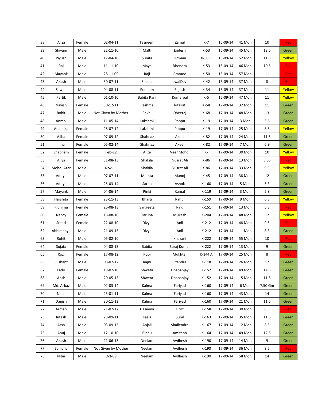| 38 | Aliza      | Female | 02-04-11            | Tasneem       | Zamal       | $K-7$   | 15-09-14 | 41 Mon | 10      | Red        |
|----|------------|--------|---------------------|---------------|-------------|---------|----------|--------|---------|------------|
| 39 | Shivam     | Male   | 22-11-10            | Malti         | Emlesh      | $K-53$  | 15-09-14 | 45 Mon | 12.5    | Green      |
| 40 | Piyush     | Male   | 17-04-10            | Sunita        | Urmani      | K-50 B  | 15-09-14 | 52 Mon | 11.5    | Yellow     |
| 41 | Raj        | Male   | $11 - 11 - 10$      | Maya          | Birendra    | $K-53$  | 15-09-14 | 46 Mon | 10.5    | Red        |
| 42 | Mayank     | Male   | 28-11-09            | Raji          | Pramod      | $K-50$  | 15-09-14 | 57 Mon | 11      | Red        |
| 43 | Akash      | Male   | 30-07-11            | Sheela        | JwalDev     | $K-42$  | 15-09-14 | 37 Mon | 8       | Red        |
| 44 | Sawan      | Male   | 04-08-11            | Poonam        | Rajesh      | $K-34$  | 15-09-14 | 37 Mon | 11      | Yellow     |
| 45 | Kartik     | Male   | $01 - 10 - 10$      | Babita Rani   | Kumarpal    | $K-5$   | 15-09-14 | 47 Mon | 11      | Yellow     |
| 46 | Navish     | Female | 30-12-11            | Reshma        | Rifakat     | K-58    | 17-09-14 | 32 Mon | 11      | Green      |
| 47 | Rohit      | Male   | Not Given by Mother | Rakhi         | Dheeraj     | $K-68$  | 17-09-14 | 48 Mon | 13      | Green      |
| 48 | Anmol      | Male   | 11-05-14            | Lakshmi       | Pappu       | $K-19$  | 17-09-14 | 3 Mon  | 5.6     | Green      |
| 49 | Anamika    | Female | 28-07-12            | Lakshmi       | Pappu       | $K-19$  | 17-09-14 | 25 Mon | 8.5     | Yellow     |
| 50 | Aliba      | Female | 07-09-12            | Shahnaz       | Akeel       | $K-82$  | 17-09-14 | 24 Mon | 11.5    | Green      |
| 51 | ilma       | Female | 05-02-14            | Shahnaz       | Akeel       | $K-82$  | 17-09-14 | 7 Mon  | 6.9     | Green      |
| 52 | Shabnam    | Female | Feb-12              | Aliza         | Veer Mohd.  | K-      | 17-09-14 | 30 Mon | 10      | Yellow     |
| 53 | Aliya      | Female | 31-08-13            | Shakila       | Nusrat Ali  | $K-86$  | 17-09-14 | 13 Mon | 5.65    | Red        |
| 54 | Mohd. Azar | Male   | Nov-11              | Shakila       | Nusrat Ali  | K-86    | 17-09-14 | 33 Mon | 9.5     | Yellow     |
| 55 | Aditya     | Male   | 07-07-11            | Mamta         | Manoj       | $K-45$  | 17-09-14 | 38 Mon | 12      | Green      |
| 56 | Aditya     | Male   | 25-03-14            | Sarita        | Ashok       | $K-160$ | 17-09-14 | 5 Mon  | 5.3     | Green      |
| 57 | Mayank     | Male   | 04-06-14            | Pinki         | Kamal       | K-119   | 17-09-14 | 3 Mon  | 5.8     | Green      |
| 58 | Harshita   | Female | 23-11-13            | Bharti        | Rahul       | K-159   | 17-09-14 | 9 Mon  | 6.3     | Yellow     |
| 59 | Ridhima    | Female | 26-08-13            | Sangeeta      | Raju        | $K-151$ | 17-09-14 | 13 Mon | 5.3     | Red        |
| 60 | Nancy      | Female | 18-08-10            | Taruna        | Mukesh      | K-204   | 17-09-14 | 48 Mon | 12      | Yellow     |
| 61 | Sreeti     | Female | 22-08-10            | Divya         | Anil        | $K-212$ | 17-09-14 | 48 Mon | 9.5     | <b>Red</b> |
| 62 | Abhimanyu  | Male   | 21-09-13            | Divya         | Anil        | $K-212$ | 17-09-14 | 11 Mon | 8.3     | Green      |
| 63 | Rohit      | Male   | 05-02-10            |               | Khazani     | K-222   | 17-09-14 | 55 Mon | 10      | Red        |
| 64 | Sujata     | Female | 04-08-13            | <b>Babita</b> | Suraj Kumar | K-222   | 17-09-14 | 13 Mon | 9       | Green      |
| 65 | Rozi       | Female | 17-08-12            | Rubi          | Mukhtar     | K-144 A | 17-09-14 | 25 Mon | 8       | <b>Red</b> |
| 66 | Sushant    | Male   | 08-07-12            | Rajni         | Jitendra    | $K-118$ | 17-09-14 | 26 Mon | 12      | Green      |
| 67 | Lado       | Female | 19-07-10            | Shweta        | Dhananjay   | K-152   | 17-09-14 | 49 Mon | 14.5    | Green      |
| 68 | Ansh       | Male   | 20-05-13            | Shweta        | Dhananjay   | $K-152$ | 17-09-14 | 15 Mon | 11.5    | Green      |
| 69 | Md. Arbaz  | Male   | 02-03-14            | Kalma         | Fariyad     | K-160   | 17-09-14 | 6 Mon  | 7.50 Gm | Green      |
| 70 | Nihal      | Male   | 25-01-11            | Kalma         | Fariyad     | K-160   | 17-09-14 | 43 Mon | 14      | Green      |
| 71 | Danish     | Male   | 30-11-12            | Kalma         | Fariyad     | $K-160$ | 17-09-14 | 21 Mon | 11.5    | Green      |
| 72 | Arman      | Male   | 21-02-12            | Haseena       | Firoz       | $K-158$ | 17-09-14 | 30 Mon | 8.5     | <b>Red</b> |
| 73 | Ritesh     | Male   | 28-09-11            | Leela         | Sunil       | $K-163$ | 17-09-14 | 35 Mon | 11.5    | Green      |
| 74 | Arsh       | Male   | 03-09-13            | Anjali        | Shailendra  | $K-167$ | 17-09-14 | 12 Mon | 8.5     | Green      |
| 75 | Anuj       | Male   | 12-10-10            | Bindu         | Amitabh     | K-164   | 17-09-14 | 49 Mon | 12.5    | Green      |
| 76 | Akash      | Male   | 21-06-13            | Neelam        | Avdhesh     | K-190   | 17-09-14 | 14 Mon | 9       | Green      |
| 77 | Sanjana    | Female | Not Given by Mother | Neelam        | Avdhesh     | K-190   | 17-09-14 | 36 Mon | 8.5     | <b>Red</b> |
| 78 | Nitin      | Male   | Oct-09              | Neelam        | Avdhesh     | K-190   | 17-09-14 | 58 Mon | 14      | Green      |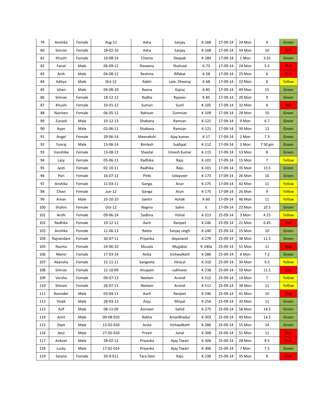| 79  | Anshika    | Female | Aug-12         | Asha      | Sanjay        | K-168   | 17-09-14 | 24 Mon | 9              | Green      |
|-----|------------|--------|----------------|-----------|---------------|---------|----------|--------|----------------|------------|
| 80  | Simran     | Female | 18-02-10       | Asha      | Sanjay        | $K-168$ | 17-09-14 | 54 Mon | 10             | <b>Red</b> |
| 81  | Khushi     | Female | 10-08-14       | Chetna    | Deepak        | K-284   | 17-09-14 | 1 Mon  | 3.55           | Green      |
| 82  | Faizal     | Male   | 06-09-12       | Raveena   | Shahzad       | $K-73$  | 17-09-14 | 24 Mon | 5.5            | Red        |
| 83  | Arsh       | Male   | 04-08-12       | Reshma    | Rifakat       | K-58    | 17-09-14 | 25 Mon | 6              | Red        |
| 84  | Aditya     | Male   | $Oct-12$       | Rakhi     | Late. Dheeraj | K-68    | 17-09-14 | 22 Mon | 8              | Yellow     |
| 85  | Ishan      | Male   | 04-08-10       | Reena     | Gajraj        | $K-85$  | 17-09-14 | 49 Mon | 15             | Green      |
| 86  | Simran     | Female | 18-12-12       | Radha     | Rajveer       | $K-85$  | 17-09-14 | 20 Mon | 9              | Green      |
| 87  | Khushi     | Female | 10-01-12       | Suman     | Sunil         | $K-105$ | 17-09-14 | 32 Mon | 8              | <b>Red</b> |
| 88  | Nazreen    | Female | 06-05-12       | Rahisan   | Zumman        | K-109   | 17-09-14 | 28 Mon | 10             | Green      |
| 89  | Zunaid     | Male   | 10-12-13       | Shabana   | Ramzan        | $K-121$ | 17-09-14 | 9 Mon  | 6.7            | Green      |
| 90  | Ayan       | Male   | 02-06-11       | Shabana   | Ramzan        | $K-121$ | 17-09-14 | 39 Mon | 12             | Green      |
| 91  | Angel      | Female | 20-06-14       | Meenakshi | Ajay kumar    | $K-17$  | 17-09-14 | 2 Mon  | 7.3            | Green      |
| 92  | Yuvraj     | Male   | 13-06-14       | Bimlesh   | Sukhpal       | $K-112$ | 17-09-14 | 3 Mon  | 7.50 gm        | Green      |
| 93  | Vanshika   | Female | 13-08-13       | Sheetal   | Umesh Kumar   | K-115   | 17-09-14 | 13 Mon | 8              | Green      |
| 94  | Lazy       | Female | 05-06-13       | Radhika   | Raju          | $K-101$ | 17-09-14 | 15 Mon | $\overline{7}$ | Yellow     |
| 95  | Jyoti      | Female | $02 - 10 - 11$ | Radhika   | Raju          | $K-101$ | 17-09-14 | 35 Mon | 13.5           | Green      |
| 96  | Pari       | Female | 16-07-12       | Pinki     | Udayveer      | K-173   | 17-09-14 | 26 Mon | 10             | Green      |
| 97  | Anshika    | Female | 11-03-11       | Ganga     | Arun          | $K-175$ | 17-09-14 | 42 Mon | 11             | Yellow     |
| 98  | Chavi      | Female | Jun-12         | Ganga     | Arun          | K-175   | 17-09-14 | 26 Mon | 9              | Yellow     |
| 99  | Aman       | Male   | 25-10-10       | Savitri   | Ashok         | $K-60$  | 17-09-14 | 46 Mon | 11             | Yellow     |
| 100 | Shahin     | Female | $Oct-12$       | Nagina    | Salim         | К       | 17-09-14 | 22 Mon | 10.5           | Green      |
| 101 | Arohi      | Female | 09-06-14       | Sadhna    | Vishal        | $K-213$ | 25-09-14 | 3 Mon  | 4.25           | Yellow     |
| 102 | Radhika    | Female | 10-12-12       | Aarti     | Ranjeet       | K-246   | 25-09-14 | 21 Mon | 6.45           | <b>Red</b> |
| 103 | Anshika    | Female | 11-06-13       | Reeta     | Sanjay singh  | $K-240$ | 25-09-14 | 15 Mon | 10             | Green      |
| 104 | Rajnandani | Female | 30-07-11       | Priyanka  | dayanand      | K-270   | 25-09-14 | 38 Mon | 11.5           | Green      |
| 105 | Nazma      | Female | 24-06-10       | Musala    | Mujjabar      | K-240a  | 25-09-14 | 51 Mon | 11             | <b>Red</b> |
| 106 | Manvi      | Female | 17-03-14       | Anita     | VishwaNath    | K-286   | 25-09-14 | 6 Mon  | 7.2            | Green      |
| 107 | Akansha    | Female | 15-11-11       | Sangeeta  | HiraLal       | K-310   | 25-09-14 | 34 Mon | 9.5            | Yellow     |
| 108 | Simran     | Female | 12-10-09       | Anupam    | sukhveer      | K-238   | 25-09-14 | 59 Mon | 11.5           | <b>Red</b> |
| 109 | Versha     | Female | 09-07-13       | Neelam    | Arvind        | K-512   | 25-09-14 | 14 Mon | $\overline{7}$ | Yellow     |
| 110 | Shivani    | Female | 26-07-11       | Neelam    | Arvind        | K-512   | 25-09-14 | 38 Mon | 11             | Yellow     |
| 111 | Ravinder   | Male   | 03-04-11       | Aarti     | Ranjeet       | K-246   | 25-09-14 | 41 Mon | 10             | <b>Red</b> |
| 112 | Vivek      | Male   | 28-03-12       | Anju      | Mirpal        | K-256   | 25-09-14 | 30 Mon | 11             | Green      |
| 113 | Asif       | Male   | 08-11-09       | Asmeen    | Sahid         | K-275   | 25-09-14 | 58 Mon | 14.5           | Green      |
| 114 | Amit       | Male   | 09-08-010      | Rekha     | AmarBhadur    | K-303   | 25-09-14 | 49 Mon | 14.5           | Green      |
| 115 | Dipit      | Male   | 13-02-010      | Anita     | VishwaNath    | K-286   | 25-09-14 | 55 Mon | 14             | Green      |
| 116 | Atul       | Male   | 27-05-010      | Preeti    | Junal         | K-300   | 25-09-14 | 51 Mon | 11             | <b>Red</b> |
| 117 | Ankeet     | Male   | 28-02-12       | Priyanka  | Ajay Tiwari   | K-306   | 25-09-14 | 28 Mon | 8.5            | Red        |
| 118 | Lucky      | Male   | 17-02-014      | Priyanka  | Ajay Tiwari   | K-306   | 25-09-14 | 7 Mon  | 7.5            | Green      |
| 119 | Sanjna     | Female | 20-9-011       | Tara Devi | Raju          | K-238   | 25-09-14 | 35 Mon | 8              | <b>Red</b> |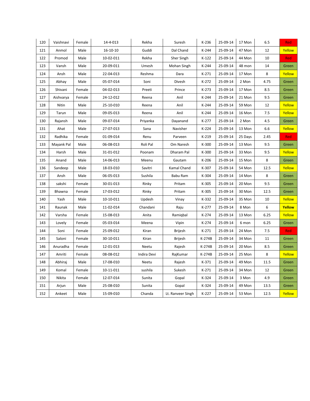| 120 | Vaishnavi  | Female | 14-4-013       | Rekha       | Suresh            | K-236   | 25-09-14 | 17 Mon  | 6.5  | Red    |
|-----|------------|--------|----------------|-------------|-------------------|---------|----------|---------|------|--------|
| 121 | Anmol      | Male   | $16 - 10 - 10$ | Guddi       | Dal Chand         | $K-244$ | 25-09-14 | 47 Mon  | 12   | Yellow |
| 122 | Promod     | Male   | 10-02-011      | Rekha       | Sher Singh        | $K-122$ | 25-09-14 | 44 Mon  | 10   | Red    |
| 123 | Vansh      | Male   | 20-09-011      | Umesh       | Mohan Singh       | $K-244$ | 25-09-14 | 48 mon  | 14   | Green  |
| 124 | Ansh       | Male   | 22-04-013      | Reshma      | Dara              | $K-271$ | 25-09-14 | 17 Mon  | 8    | Yellow |
| 125 | Abhay      | Male   | 05-07-014      | Soni        | Divesh            | K-272   | 25-09-14 | 2 Mon   | 4.75 | Green  |
| 126 | Shivani    | Female | 04-02-013      | Preeti      | Prince            | $K-273$ | 25-09-14 | 17 Mon  | 8.5  | Green  |
| 127 | Aishvarya  | Female | 24-12-012      | Reena       | Anil              | $K-244$ | 25-09-14 | 21 Mon  | 9.5  | Green  |
| 128 | Nitin      | Male   | 25-10-010      | Reena       | Anil              | $K-244$ | 25-09-14 | 59 Mon  | 12   | Yellow |
| 129 | Tarun      | Male   | 09-05-013      | Reena       | Anil              | $K-244$ | 25-09-14 | 16 Mon  | 7.5  | Yellow |
| 130 | Rajansh    | Male   | 09-07-014      | Priyanka    | Dayanand          | $K-277$ | 25-09-14 | 2 Mon   | 4.5  | Green  |
| 131 | Ahat       | Male   | 27-07-013      | Sana        | Navisher          | $K-224$ | 25-09-14 | 13 Mon  | 6.6  | Yellow |
| 132 | Radhika    | Female | 01-09-014      | Renu        | Parveen           | $K-219$ | 25-09-14 | 25 Days | 2.45 | Red    |
| 133 | Mayank Pal | Male   | 06-08-013      | Roli Pal    | Om Naresh         | K-300   | 25-09-14 | 13 Mon  | 9.5  | Green  |
| 134 | Harsh      | Male   | 31-01-012      | Poonam      | Dharam Pal        | $K-300$ | 25-09-14 | 33 Mon  | 9.5  | Yellow |
| 135 | Anand      | Male   | 14-06-013      | Meenu       | Gautam            | K-206   | 25-09-14 | 15 Mon  | 8    | Green  |
| 136 | Sandeep    | Male   | 18-03-010      | Savitri     | Kamal Chand       | K-307   | 25-09-14 | 54 Mon  | 12.5 | Yellow |
| 137 | Ansh       | Male   | 06-05-013      | Sushila     | Babu Ram          | K-304   | 25-09-14 | 14 Mon  | 8    | Green  |
| 138 | sakshi     | Female | 30-01-013      | Rinky       | Pritam            | $K-305$ | 25-09-14 | 20 Mon  | 9.5  | Green  |
| 139 | Bhawna     | Female | 17-03-012      | Rinky       | Pritam            | K-305   | 25-09-14 | 30 Mon  | 12.5 | Green  |
| 140 | Yash       | Male   | 10-10-011      | Updesh      | Vinay             | K-332   | 25-09-14 | 35 Mon  | 10   | Yellow |
| 141 | Raunak     | Male   | 11-02-014      | Chandani    | Raju              | K-277   | 25-09-14 | 8 Mon   | 6    | Yellow |
| 142 | Varsha     | Female | 15-08-013      | Anita       | Ramigbal          | $K-274$ | 25-09-14 | 13 Mon  | 6.25 | Yellow |
| 143 | Lovely     | Female | 05-03-014      | Meena       | Vipin             | $K-274$ | 25-09-14 | 6 mon   | 6.25 | Green  |
| 144 | Soni       | Female | 25-09-012      | Kiran       | <b>Brijesh</b>    | $K-271$ | 25-09-14 | 24 Mon  | 7.5  | Red    |
| 145 | Saloni     | Female | 30-10-011      | Kiran       | <b>Brijesh</b>    | K-274B  | 25-09-14 | 34 Mon  | 11   | Green  |
| 146 | Anuradha   | Female | 12-01-013      | Neetu       | Rajesh            | K-274B  | 25-09-14 | 20 Mon  | 8.5  | Green  |
| 147 | Amriti     | Female | 08-08-012      | Indira Devi | RajKumar          | K-274B  | 25-09-14 | 25 Mon  | 8    | Yellow |
| 148 | Abhiraj    | Male   | 17-08-010      | Neetu       | Rajesh            | K-371   | 25-09-14 | 49 Mon  | 11.5 | Green  |
| 149 | Komal      | Female | 10-11-011      | sushila     | Sukesh            | K-271   | 25-09-14 | 34 Mon  | 12   | Green  |
| 150 | Nikita     | Female | 12-07-014      | Sunita      | Gopal             | K-324   | 25-09-14 | 3 Mon   | 4.9  | Green  |
| 151 | Arjun      | Male   | 25-08-010      | Sunita      | Gopal             | $K-324$ | 25-09-14 | 49 Mon  | 13.5 | Green  |
| 152 | Ankeet     | Male   | 15-09-010      | Chanda      | Lt. Ranveer Singh | K-227   | 25-09-14 | 53 Mon  | 12.5 | Yellow |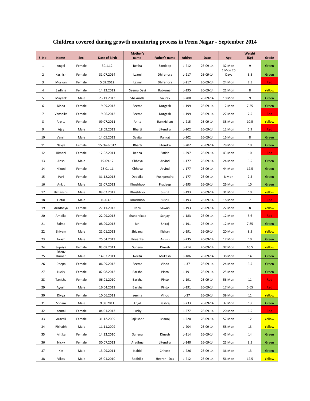| S. No          | <b>Name</b>    | Sex    | Date of Birth  | Mother's<br>name | Father's name | <b>Addres</b> | <b>Date</b> | Age              | Weight<br>(Kg) | Grade  |
|----------------|----------------|--------|----------------|------------------|---------------|---------------|-------------|------------------|----------------|--------|
| $\mathbf{1}$   | Angel          | Female | 30.1.12        | Rekha            | Sandeep       | $J-212$       | 26-09-14    | 32 Mon           | 9              | Green  |
| $\overline{2}$ | Kashish        | Female | 31.07.2014     | Laxmi            | Dhirendra     | $J-217$       | 26-09-14    | 1 Mon 26<br>Days | 3.8            | Green  |
| 3              | Muskan         | Female | 5.09.2012      | Laxmi            | Dhirendra     | $J-217$       | 26-09-14    | 24 Mon           | 7.5            | Red    |
| 4              | Sadhna         | Female | 14.12.2012     | Seema Devi       | Rajkumar      | $J-195$       | 26-09-14    | 21 Mon           | 8              | Yellow |
| 5              | Mayank         | Male   | 23.11.2013     | Shakuntla        | Gaurav        | $J-200$       | 26-09-14    | 10 Mon           | 9              | Green  |
| 6              | Nisha          | Female | 19.09.2013     | Seema            | Durgesh       | $J-199$       | 26-09-14    | 12 Mon           | 7.25           | Green  |
| $\overline{7}$ | Vanshika       | Female | 19.06.2012     | Seema            | Durgesh       | $J-199$       | 26-09-14    | 27 Mon           | 7.5            | Red    |
| 8              | Arpita         | Female | 09.07.2011     | Anita            | Ramkishan     | $J-215$       | 26-09-14    | 38 Mon           | 10.5           | Yellow |
| 9              | Ajay           | Male   | 18.09.2013     | Bharti           | Jitendra      | $J-202$       | 26-09-14    | 12 Mon           | 5.9            | Red    |
| 10             | Vansh          | Male   | 14.05.2013     | Savita           | Pankaj        | $J-202$       | 26-09-14    | 16 Mon           | 8              | Green  |
| 11             | Navya          | Female | 15 chet 2012   | Bharti           | Jitendra      | $J-202$       | 26-09-14    | 28 Mon           | 10             | Green  |
| 12             | Himani         | Female | 12.02.2011     | Reena            | Satish        | $J-297$       | 26-09-14    | 43 Mon           | 10             | Red    |
| 13             | Ansh           | Male   | 19-09-12       | Chhaya           | Arvind        | $J-177$       | 26-09-14    | 24 Mon           | 9.5            | Green  |
| 14             | Nikunj         | Female | 28-01-11       | Chhaya           | Arvind        | $J-177$       | 26-09-14    | 44 Mon           | 12.5           | Green  |
| 15             | Pari           | Female | 31.12.2013     | Deepika          | Pushpendra    | $J-177$       | 26-09-14    | 8 Mon            | 7.5            | Green  |
| 16             | Ankit          | Male   | 23.07.2012     | Khushboo         | Pradeep       | $J-193$       | 26-09-14    | 26 Mon           | 10             | Green  |
| 17             | Himanshu       | Male   | 09.02.2012     | Khushboo         | Sushil        | $J-193$       | 26-09-14    | 31 Mon           | 10             | Yellow |
| 18             | Hetal          | Male   | $10 - 03 - 13$ | Khushboo         | Sushil        | $J-193$       | 26-09-14    | 18 Mon           | $\overline{7}$ | Red    |
| 19             | Aradhaya       | Female | 27.11.2012     | Renu             | Sawan         | $J-193$       | 26-09-14    | 22 Mon           | 8              | Yellow |
| 20             | Ambika         | Female | 22.09.2013     | chandrakala      | Sanjay        | $J-183$       | 26-09-14    | 12 Mon           | 5.6            | Red    |
| 21             | Salma          | Female | 08.09.2013     | Juhi             | Shiraj        | $J-191$       | 26-09-14    | 12 Mon           | 7.85           | Green  |
| 22             | Shivam         | Male   | 21.01.2013     | Shivangi         | Kishan        | $J-191$       | 26-09-14    | 20 Mon           | 8.5            | Yellow |
| 23             | Akash          | Male   | 25.04.2013     | Priyanka         | Ashish        | $J-235$       | 26-09-14    | 17 Mon           | 10             | Green  |
| 24             | Supriya        | Female | 03.08.2011     | Sunena           | Dinesh        | $J - 214$     | 26-09-14    | 37 Mon           | 10.5           | Yellow |
| 25             | Dhruv<br>Kumar | Male   | 14.07.2011     | Neetu            | Mukesh        | $J-186$       | 26-09-14    | 38 Mon           | 14             | Green  |
| 26             | Deepa          | Female | 06.09.2012     | Seema            | Vinod         | $J-37$        | 26-09-14    | 24 Mon           | 9.5            | Green  |
| 27             | Lucky          | Female | 02.08.2012     | Barkha           | Pinto         | $J-191$       | 26-09-14    | 25 Mon           | $11\,$         | Green  |
| 28             | Tanisha        | Female | 06.01.2010     | Barkha           | Pinto         | $J-191$       | 26-09-14    | 56 Mon           | 11             | Red    |
| 29             | Ayush          | Male   | 16.04.2013     | Barkha           | Pinto         | $J-191$       | 26-09-14    | 17 Mon           | 5.65           | Red    |
| 30             | Divya          | Female | 10.06.2011     | seema            | Vinod         | $J-37$        | 26-09-14    | 39 Mon           | 11             | Yellow |
| 31             | Soham          | Male   | 9.08.2011      | Anjali           | Deshraj       | $J-233$       | 26-09-14    | 37 Mon           | 13             | Green  |
| 32             | Komal          | Female | 04.01.2013     | Lucky            |               | $J-277$       | 26-09-14    | 20 Mon           | 6.5            | Red    |
| 33             | Aravali        | Female | 31.12.2009     | Rajkishori       | Manoj         | $J-220$       | 26-09-14    | 57 Mon           | 12             | Yellow |
| 34             | Rishabh        | Male   | 11.11.2009     |                  |               | $J-204$       | 26-09-14    | 58 Mon           | 13             | Yellow |
| 35             | Kritika        | Female | 14.12.2010     | Sunena           | Dinesh        | $J-214$       | 26-09-14    | 45 Mon           | 14             | Green  |
| 36             | Nicky          | Female | 30.07.2012     | Aradhna          | Jitendra      | $J-140$       | 26-09-14    | 25 Mon           | 9.5            | Green  |
| 37             | Ket            | Male   | 13.09.2011     | Nahid            | Chhote        | $J-226$       | 26-09-14    | 36 Mon           | 13             | Green  |
| 38             | Vikas          | Male   | 25.01.2010     | Radhika          | Heeran Das    | $J-212$       | 26-09-14    | 56 Mon           | 12.5           | Yellow |

**Children covered during growth monitoring process in Prem Nagar - September 2014**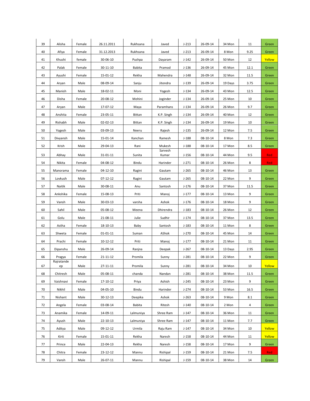| 39 | Alisha           | Female | 26.11.2011     | Rukhsana      | Javed            | $J-213$   | 26-09-14       | 34 Mon  | 11     | Green      |
|----|------------------|--------|----------------|---------------|------------------|-----------|----------------|---------|--------|------------|
| 40 | Afiya            | Female | 31.12.2013     | Rukhsana      | Javed            | $J-213$   | 26-09-14       | 8 Mon   | 9.25   | Green      |
| 41 | Khushi           | female | 30-06-10       | Pushpa        | Dayaram          | $J-142$   | 26-09-14       | 50 Mon  | 12     | Yellow     |
| 42 | Palak            | Female | 30-11-10       | <b>Babita</b> | Pramod           | $J-136$   | 26-09-14       | 45 Mon  | 12.1   | Green      |
| 43 | Ayushi           | Female | 15-01-12       | Rekha         | Mahendra         | $J-148$   | 26-09-14       | 32 Mon  | 11.5   | Green      |
| 44 | Aryan            | Male   | 08-09-14       | Sanju         | Jitendra         | $J-139$   | 26-09-14       | 19 Days | 3.75   | Green      |
| 45 | Manish           | Male   | 18-02-11       | Moni          | Yogesh           | $J-134$   | 26-09-14       | 43 Mon  | 12.5   | Green      |
| 46 | Disha            | Female | 20-08-12       | Mohini        | Joginder         | $J-134$   | 26-09-14       | 25 Mon  | 10     | Green      |
| 47 | Aryan            | Male   | 17-07-12       | Maya          | Paramhans        | $J-134$   | 26-09-14       | 26 Mon  | 9.7    | Green      |
| 48 | Anshita          | Female | 23-05-11       | <b>Bittan</b> | K.P. Singh       | $J-134$   | 26-09-14       | 40 Mon  | 12     | Green      |
| 49 | Rishabh          | Male   | 02-02-13       | Bittan        | K.P. Singh       | $J-134$   | 26-09-14       | 19 Mon  | 10     | Green      |
| 50 | Yogesh           | Male   | 03-09-13       | Neeru         | Rajesh           | $J-135$   | 26-09-14       | 12 Mon  | 7.5    | Green      |
| 51 | Divyansh         | Male   | 15-01-14       | Kanchan       | Ramesh           | $J-188$   | 08-10-14       | 8 Mon   | 7.3    | Green      |
| 52 | Krish            | Male   | 29-04-13       | Rani          | Mukesh           | $J-188$   | 08-10-14       | 17 Mon  | 8.5    | Green      |
| 53 | Abhay            | Male   | 31-01-11       | Sunita        | Sarvesh<br>Kumar | $J-156$   | 08-10-14       | 44 Mon  | 9.5    | <b>Red</b> |
| 54 | Nikita           | Female | 04-08-12       | Bindu         | Harinder         | $J-271$   | 08-10-14       | 26 Mon  | 8      | <b>Red</b> |
| 55 | Manorama         | Female | 04-12-10       | Ragini        | Gautam           | $J-265$   | 08-10-14       | 46 Mon  | 13     | Green      |
| 56 | Lovkush          | Male   | 07-12-12       | Ragini        | Gautam           | $J - 265$ | 08-10-14       | 22 Mon  | 9      | Green      |
| 57 | Naitik           | Male   | 30-08-11       | Anu           | Santosh          | $J-176$   | 08-10-14       | 37 Mon  | 11.5   | Green      |
| 58 | Ankshika         | Female | 15-08-13       | Priti         | Manoj            | $J-177$   | 08-10-14       | 13 Mon  | 9      | Green      |
| 59 | Vansh            | Male   | 30-03-13       | varsha        | Ashok            | $J-176$   | 08-10-14       | 18 Mon  | 9      | Green      |
| 60 | Sahil            | Male   | 05-08-12       | Meena         | Dhirendra        | $J-183$   | 08-10-14       | 26 Mon  | 12     | Green      |
| 61 | Golu             | Male   | 21-08-11       | Julie         | Sudhir           | $J - 174$ | 08-10-14       | 37 Mon  | 13.5   | Green      |
| 62 | Astha            | Female | 18-10-13       | Baby          | Santosh          | $J-183$   | 08-10-14       | 11 Mon  | 8      | Green      |
| 63 | Shweta           | Female | $01 - 01 - 11$ | Suman         | AShok            | $J-270$   | 08-10-14       | 45 Mon  | 14     | Green      |
| 64 | Prachi           | Female | $10 - 12 - 12$ | Priti         | Manoj            | $J-177$   | 08-10-14       | 21 Mon  | 11     | Green      |
| 65 | Dipanshu         | Male   | 26-09-14       | Ranjna        | Deepak           | $J-267$   | 08-10-14       | 13 Days | 2.95   | Green      |
| 66 | Pragya           | Female | 21-11-12       | Promila       | Sunny            | $J-281$   | 08-10-14       | 22 Mon  | 9      | Green      |
| 67 | Rajratande<br>ep | Male   | $27 - 11 - 11$ | Promila       | Sunny            | $J-281$   | $08 - 10 - 14$ | 34 Mon  | $10\,$ | Yellow     |
| 68 | Chitresh         | Male   | 05-08-11       | chanda        | Nandan           | $J-281$   | 08-10-14       | 38 Mon  | 11.5   | Green      |
| 69 | Vaishnavi        | Female | 17-10-12       | Priya         | Ashish           | $J-245$   | $08 - 10 - 14$ | 23 Mon  | 9      | Green      |
| 70 | Nikhil           | Male   | 04-05-10       | Bindu         | Harinder         | $J - 274$ | 08-10-14       | 53 Mon  | 16.5   | Green      |
| 71 | Nishant          | Male   | 30-12-13       | Deepika       | Ashok            | $J - 263$ | 08-10-14       | 9 Mon   | 8.1    | Green      |
| 72 | Angela           | Female | 03-08-14       | <b>Babita</b> | Ritesh           | $J-140$   | 08-10-14       | 2 Mon   | 4      | Green      |
| 73 | Anamika          | Female | 14-09-11       | Lalmuniya     | Shree Ram        | J-147     | 08-10-14       | 36 Mon  | 11     | Green      |
| 74 | Ayush            | Male   | 22-10-13       | Lalmuniya     | Shree Ram        | $J-147$   | 08-10-14       | 11 Mon  | 7.7    | Green      |
| 75 | Aditya           | Male   | 09-12-12       | Urmila        | Raju Ram         | $J-147$   | 08-10-14       | 34 Mon  | 10     | Yellow     |
| 76 | Kirti            | Female | 15-01-11       | Rekha         | Naresh           | $J-158$   | 08-10-14       | 44 Mon  | 11     | Yellow     |
| 77 | Prince           | Male   | 22-04-13       | Rekha         | Naresh           | $J-158$   | 08-10-14       | 17 Mon  | 9      | Green      |
| 78 | Chitra           | Female | 23-12-12       | Mannu         | Rishipal         | $J-159$   | 08-10-14       | 21 Mon  | 7.5    | <b>Red</b> |
| 79 | Vansh            | Male   | 26-07-11       | Mannu         | Rishipal         | J-159     | 08-10-14       | 38 Mon  | 14     | Green      |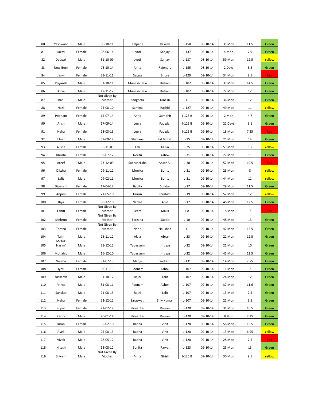| 80  | Yashwant       | Male   | 30-10-11                 | Kalpana       | Rakesh     | $J-150$  | 08-10-14       | 35 Mon  | 11.5           | Green      |
|-----|----------------|--------|--------------------------|---------------|------------|----------|----------------|---------|----------------|------------|
| 81  | Laxmi          | Female | 08-06-14                 | Jyoti         | Sanjay     | $J-137$  | $08 - 10 - 14$ | 4 Mon   | 7.9            | Green      |
| 82  | Deepak         | Male   | 31-10-09                 | Jyoti         | Sanjay     | $J-137$  | 08-10-14       | 59 Mon  | 12.5           | Yellow     |
| 83  | New Born       | Female | 06-10-14                 | Anita         | Rajendra   | $J-155$  | 08-10-14       | 2 Days  | 3.5            | Green      |
| 84  | Janvi          | Female | 31-11-11                 | Sapna         | Bhure      | $J-120$  | 09-10-14       | 34 Mon  | 8.5            | Red        |
| 85  | Priyansh       | Male   | 31-10-11                 | Munesh Devi   | Kishan     | $J-102$  | 09-10-14       | 35 Mon  | 14.5           | Green      |
| 86  | Dhruv          | Male   | $17 - 11 - 12$           | Munesh Devi   | Kishan     | $J-102$  | 09-10-14       | 22 Mon  | 12             | Green      |
| 87  | Shanu          | Male   | Not Given By<br>Mother   | Sangeeta      | Dinesh     | J-       | 09-10-14       | 36 Mon  | 12             | Green      |
| 88  | Nazil          | Female | 24-08-10                 | Samina        | Rashid     | $J-127$  | 09-10-14       | 49 Mon  | 11             | Yellow     |
| 89  | Poonam         | Female | 15-07-14                 | Anita         | Gambhir    | $J-125B$ | 09-10-14       | 2 Mon   | 4.7            | Green      |
| 90  | Ansh           | Male   | 17-09-14                 | Leela         | Fauzdar    | $J-125B$ | 09-10-14       | 22 Days | 3.1            | Green      |
| 91  | Neha           | Female | 28-03-13                 | Leela         | Fauzdar    | $J-125B$ | 09-10-14       | 18 Mon  | 7.25           | Red        |
| 92  | Irfaan         | Male   | 09-09-12                 | Shabana       | Lal Mohd.  | $J-35$   | 09-10-14       | 25 Mon  | 14             | Green      |
| 93  | Alisha         | Female | 06-11-09                 | Lali          | Kalua      | $J-35$   | 09-10-14       | 59 Mon  | 13             | Yellow     |
| 94  | Khushi         | Female | 09-07-12                 | Neetu         | Ashok      | $J-31$   | 09-10-14       | 27 Mon  | 11             | Green      |
| 95  | Areef          | Male   | 23-12-09                 | SabrunNisha   | Ansar Ali  | $J-30$   | 09-10-14       | 57 Mon  | 10.5           | Red        |
| 96  | Diksha         | Female | 09-11-12                 | Monika        | Bunty      | $J-31$   | 09-10-14       | 23 Mon  | 8              | Yellow     |
| 97  | Lalit          | Male   | 09-02-11                 | Monika        | Bunty      | $J-31$   | 09-10-14       | 44 Mon  | 11             | Yellow     |
| 98  | Dipanshi       | Female | 17-04-12                 | <b>Babita</b> | Sundar     | $J-17$   | 09-10-14       | 29 Mon  | 11.5           | Green      |
| 99  | Anjum          | Female | 21-05-10                 | Huran         | Ibrahim    | $J-19$   | 09-10-14       | 52 Mon  | 12             | Yellow     |
| 100 | Riya           | Female | 08-12-10                 | Nazma         | Abid       | $J-12$   | 09-10-14       | 46 Mon  | 12.5           | Green      |
| 101 | Lahiti         | Female | Not Given By<br>Mother   | Seeta         | Malik      | $J-8$    | 09-10-14       | 18 Mon  | $\overline{7}$ | Red        |
| 102 | Mehrun         | Female | Not Given By<br>Mother   | Farzana       | Sabbir     | $J-10$   | 09-10-14       | 48 Mon  | 13             | Green      |
| 103 | Tarana         | Female | Not Given By<br>Mother   | Noori         | Naushad    | J-       | 09-10-14       | 42 Mon  | 15.5           | Green      |
|     |                |        |                          |               |            |          |                |         |                |            |
| 104 | Tahir<br>Mohd. | Male   | 25-11-12                 | Akila         | Abrar      | $J-23$   | 09-10-14       | 22 Mon  | 12.5           | Green      |
| 105 | Nasim'         | Male   | 31-12-12                 | Tabassum      | Imtiyaz    | $J-22$   | 09-10-14       | 21 Mon  | 10             | Green      |
| 106 | Mohahid        | Male   | 16-12-10                 | Tabassum      | Imtiyaz    | $J-22$   | 09-10-14       | 45 Mon  | 12.5           | Green      |
| 107 | Varsha         | Female | 31-07-13                 | Manju         | Yadram     | $J-131$  | 09-10-14       | 14 Mon  | 7.75           | Green      |
| 108 |                |        |                          |               |            |          |                |         |                |            |
| 109 | Jyoti          | Female | 08-11-13                 | Poonam        | Ashok      | $J-107$  | 09-10-14       | 11 Mon  | $\overline{7}$ | Green      |
|     | Niskarsh       | Male   | $01 - 10 - 12$           | Rajni         | Lalit      | $J-107$  | 09-10-14       | 24 Mon  | 12             | Green      |
| 110 | Prince         | Male   | 31-08-11                 | Poonam        | Ashok      | $J-107$  | 09-10-14       | 37 Mon  | 11.6           | Green      |
| 111 | Sanskar        | Male   | 21-08-13                 | Rajni         | Lalit      | $J-107$  | 09-10-14       | 13 Mon  | 7.5            | Green      |
| 112 | Neha           | Female | 22-12-12                 | Saraswati     | Shiv Kumar | $J-107$  | 09-10-14       | 21 Mon  | 9.5            | Green      |
| 113 | Rupali         | Female | 21-02-12                 | Priyanka      | Pawan      | $J-120$  | 09-10-14       | 31 Mon  | 10.5           | Green      |
| 114 | Kartik         | Male   | 26-01-14                 | Priyanka      | Pawan      | $J-120$  | 09-10-14       | 8 Mon   | 7.25           | Green      |
| 115 | Kiran          | Female | 05-02-10                 | Radha         | Vinit      | $J-120$  | 09-10-14       | 56 Mon  | 13.5           | Green      |
| 116 | Avek           | Male   | 25-08-13                 | Radha         | Vinit      | $J-120$  | 09-10-14       | 13 Mon  | 6.95           | Yellow     |
| 117 | Vivek          | Male   | 28-05-12                 | Radha         | Vinit      | $J-120$  | 09-10-14       | 28 Mon  | 7.5            | <b>Red</b> |
| 118 | Nitesh         | Male   | 13-08-12<br>Not Given By | Sunita        | Parvat     | $J-123$  | 09-10-14       | 25 Mon  | 13             | Green      |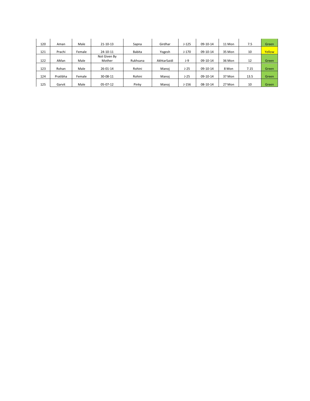| 120 | Aman     | Male   | $21 - 10 - 13$         | Sapna    | Girdhar     | $J-125$   | 09-10-14   | 11 Mon | 7.5  | Green  |
|-----|----------|--------|------------------------|----------|-------------|-----------|------------|--------|------|--------|
| 121 | Prachi   | Female | 24-10-11               | Babita   | Yogesh      | $J - 170$ | 09-10-14   | 35 Mon | 10   | Yellow |
| 122 | AMan     | Male   | Not Given By<br>Mother | Rukhsana | AkhtarSaidi | $J-9$     | 09-10-14   | 36 Mon | 12   | Green  |
| 123 | Rohan    | Male   | $26 - 01 - 14$         | Rohini   | Manoi       | $J-25$    | 09-10-14   | 8 Mon  | 7.15 | Green  |
| 124 | Pratibha | Female | 30-08-11               | Rohini   | Manoi       | $J-25$    | 09-10-14   | 37 Mon | 13.5 | Green  |
| 125 | Garvit   | Male   | $05-07-12$             | Pinky    | Manoi       | $J - 156$ | $08-10-14$ | 27 Mon | 10   | Green  |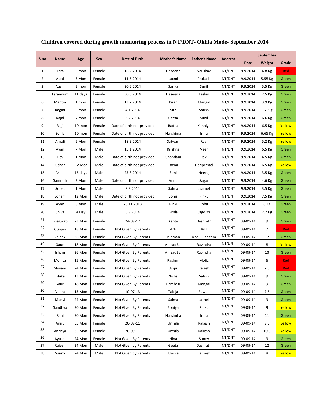| S.no           | Name     | Age     | <b>Sex</b> | Date of Birth              | <b>Mother's Name</b> | <b>Father's Name</b> | <b>Address</b> | September   |         |            |
|----------------|----------|---------|------------|----------------------------|----------------------|----------------------|----------------|-------------|---------|------------|
|                |          |         |            |                            |                      |                      |                | <b>Date</b> | Weight  | Grade      |
| $\mathbf{1}$   | Tara     | 6 mon   | Female     | 16.2.2014                  | Haseena              | Naushad              | NT/DNT         | 9.9.2014    | 4.8 Kg  | <b>Red</b> |
| $\overline{2}$ | Aarti    | 3 Mon   | Female     | 11.5.2014                  | Laxmi                | Prakash              | NT/DNT         | 9.9.2014    | 5.55 Kg | Green      |
| 3              | Aashi    | 2 mon   | Female     | 30.6.2014                  | Sarika               | Sunil                | NT/DNT         | 9.9.2014    | 5.5 Kg  | Green      |
| 5              | Tarannum | 11 days | Female     | 30.8.2014                  | Haseena              | Taslim               | NT/DNT         | 9.9.2014    | 2.5 Kg  | Green      |
| 6              | Mantra   | 1 mon   | Female     | 13.7.2014                  | Kiran                | Mangal               | NT/DNT         | 9.9.2014    | 3.9 Kg  | Green      |
| 7              | Ragini   | 8 mon   | Female     | 4.1.2014                   | Sita                 | Satish               | NT/DNT         | 9.9.2014    | 6.7 K g | Green      |
| 8              | Kajal    | 7 mon   | Female     | 3.2.2014                   | Geeta                | Sunil                | NT/DNT         | 9.9.2014    | 6.6 Kg  | Green      |
| 9              | Rajji    | 10 mon  | Female     | Date of birth not provided | Radha                | Kanhiya              | NT/DNT         | 9.9.2014    | 6.5 Kg  | Yellow     |
| 10             | Sonia    | 10 mon  | Female     | Date of birth not provided | Narshima             | Imra                 | NT/DNT         | 9.9.2014    | 6.65 Kg | Yellow     |
| 11             | Amoli    | 5 Mon   | Female     | 18.3.2014                  | Satwari              | Ravi                 | NT/DNT         | 9.9.2014    | 5.2 Kg  | Yellow     |
| 12             | Ayan     | 7 Mon   | Male       | 15.1.2014                  | Krishna              | Veer                 | NT/DNT         | 9.9.2014    | 6.5 Kg  | Green      |
| 13             | Dev      | 1 Mon   | Male       | Date of birth not provided | Chandani             | Ravi                 | NT/DNT         | 9.9.2014    | 4.5 Kg  | Green      |
| 14             | Kishan   | 12 Mon  | Male       | Date of birth not provided | Laxmi                | Hariprasad           | NT/DNT         | 9.9.2014    | 6.5 Kg  | Yellow     |
| 15             | Ashiq    | 15 days | Male       | 25.8.2014                  | Soni                 | Neeraj               | NT/DNT         | 9.9.2014    | 3.5 Kg  | Green      |
| 16             | Samrath  | 2 Mon   | Male       | Date of birth not provided | Annu                 | Sagar                | NT/DNT         | 9.9.2014    | 4.6 Kg  | Green      |
| 17             | Sohet    | 1 Mon   | Male       | 8.8.2014                   | Salma                | Jaarnel              | NT/DNT         | 9.9.2014    | 3.5 Kg  | Green      |
| 18             | Soham    | 12 Mon  | Male       | Date of birth not provided | Sonia                | Rinku                | NT/DNT         | 9.9.2014    | 7.5 Kg  | Green      |
| 19             | Ayan     | 8 Mon   | Male       | 26.11.2013                 | Pinki                | Rohit                | NT/DNT         | 9.9.2014    | 8 Kg    | Green      |
| 20             | Shiva    | 4 Day   | Male       | 6.9.2014                   | Bimla                | Jagdish              | NT/DNT         | 9.9.2014    | 2.7 Kg  | Green      |
| 21             | Bhagwati | 23 Mon  | Female     | 24-09-12                   | Kanta                | Dashrath             | NT/DNT         | 09-09-14    | 9       | Green      |
| 22             | Gunjan   | 18 Mon  | Female     | Not Given By Parents       | Arti                 | Anil                 | NT/DNT         | 09-09-14    | 7       | Red        |
| 23             | Zelhak   | 36 Mon  | Female     | Not Given By Parents       | Jaleman              | Abdul Raheem         | NT/DNT         | 09-09-14    | 12      | Green      |
| 24             | Gauri    | 18 Mon  | Female     | Not Given By Parents       | AmzadBai             | Ravindra             | NT/DNT         | 09-09-14    | 8       | Yellow     |
| 25             | Isham    | 36 Mon  | Female     | Not Given By Parents       | AmzadBai             | Ravindra             | NT/DNT         | 09-09-14    | 13      | Green      |
| 26             | Monica   | 15 Mon  | Female     | Not Given By Parents       | Rashmi               | Mofiz                | NT/DNT         | 09-09-14    | 6       | Red        |
| 27             | Shivani  | 24 Mon  | Female     | Not Given By Parents       | Anju                 | Rajesh               | NT/DNT         | 09-09-14    | 7.5     | Red        |
| 28             | Ishika   | 13 Mon  | Female     | Not Given By Parents       | Nisha                | Satish               | NT/DNT         | 09-09-14    | 9       | Green      |
| 29             | Gauri    | 18 Mon  | Female     | Not Given By Parents       | Rambeti              | Mangal               | NT/DNT         | 09-09-14    | 9       | Green      |
| 30             | Veera    | 13 Mon  | Female     | 10-07-13                   | Tabija               | Rawan                | NT/DNT         | 09-09-14    | 7.5     | Green      |
| 31             | Manvi    | 24 Mon  | Female     | Not Given By Parents       | Salma                | Jarnel               | NT/DNT         | 09-09-14    | 9       | Green      |
| 32             | Sandhya  | 30 Mon  | Female     | Not Given By Parents       | Soniya               | Rinku                | NT/DNT         | 09-09-14    | 9       | Yellow     |
| 33             | Rani     | 30 Mon  | Female     | Not Given By Parents       | Narsimha             | Imra                 | NT/DNT         | 09-09-14    | 11      | Green      |
| 34             | Annu     | 35 Mon  | Female     | 20-09-11                   | Urmila               | Rakesh               | NT/DNT         | 09-09-14    | 9.5     | yellow     |
| 35             | Ananya   | 35 Mon  | Female     | 20-09-11                   | Urmila               | Rakesh               | NT/DNT         | 09-09-14    | 10.5    | Yellow     |
| 36             | Ayushi   | 24 Mon  | Female     | Not Given By Parents       | Hina                 | Sunny                | NT/DNT         | 09-09-14    | 9       | Green      |
| 37             | Rajesh   | 24 Mon  | Male       | Not Given by Parents       | Geeta                | Dashrath             | NT/DNT         | 09-09-14    | 12      | Green      |
| 38             | Sunny    | 24 Mon  | Male       | Not Given by Parents       | Khosla               | Ramesh               | NT/DNT         | 09-09-14    | 8       | Yellow     |

**Children covered during growth monitoring process in NT/DNT- Okhla Mode- September 2014**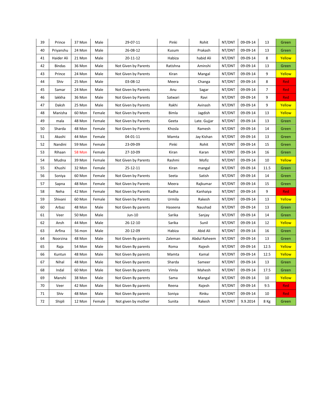| 39 | Prince        | 37 Mon | Male   | 29-07-11             | Pinki    | Rohit        | NT/DNT | 09-09-14 | 13             | Green      |
|----|---------------|--------|--------|----------------------|----------|--------------|--------|----------|----------------|------------|
| 40 | Priyanshu     | 24 Mon | Male   | 26-08-12             | Kusum    | Prakash      | NT/DNT | 09-09-14 | 13             | Green      |
| 41 | Haider Ali    | 21 Mon | Male   | 20-11-12             | Habiza   | habid Ali    | NT/DNT | 09-09-14 | 8              | Yellow     |
| 42 | <b>Bindas</b> | 36 Mon | Male   | Not Given by Parents | Ratishna | Aminshi      | NT/DNT | 09-09-14 | 13             | Green      |
| 43 | Prince        | 24 Mon | Male   | Not Given by Parents | Kiran    | Mangal       | NT/DNT | 09-09-14 | 9              | Yellow     |
| 44 | Shiv          | 25 Mon | Male   | 03-08-12             | Meera    | Changa       | NT/DNT | 09-09-14 | 8              | Red        |
| 45 | Samar         | 24 Mon | Male   | Not Given by Parents | Anu      | Sagar        | NT/DNT | 09-09-14 | $\overline{7}$ | Red        |
| 46 | lakkha        | 36 Mon | Male   | Not Given by Parents | Satwari  | Ravi         | NT/DNT | 09-09-14 | 9              | Red        |
| 47 | Daksh         | 25 Mon | Male   | Not Given by Parents | Rakhi    | Avinash      | NT/DNT | 09-09-14 | 9              | Yellow     |
| 48 | Manisha       | 60 Mon | Female | Not Given by Parents | Bimla    | Jagdish      | NT/DNT | 09-09-14 | 13             | Yellow     |
| 49 | mala          | 48 Mon | Female | Not Given by Parents | Geeta    | Late. Gujjar | NT/DNT | 09-09-14 | 13             | Green      |
| 50 | Sharda        | 48 Mon | Female | Not Given by Parents | Khosla   | Ramesh       | NT/DNT | 09-09-14 | 14             | Green      |
| 51 | Akashi        | 44 Mon | Female | 04-01-11             | Mamta    | Jay Kishan   | NT/DNT | 09-09-14 | 13             | Green      |
| 52 | Nandini       | 59 Mon | Female | 23-09-09             | Pinki    | Rohit        | NT/DNT | 09-09-14 | 15             | Green      |
| 53 | Rihaan        | 58 Mon | Female | 27-10-09             | Kiran    | Karan        | NT/DNT | 09-09-14 | 16             | Green      |
| 54 | Mudna         | 39 Mon | Female | Not Given by Parents | Rashmi   | Mofiz        | NT/DNT | 09-09-14 | 10             | Yellow     |
| 55 | Khushi        | 32 Mon | Female | 25-12-11             | Kiran    | mangal       | NT/DNT | 09-09-14 | 11.5           | Green      |
| 56 | Soniya        | 60 Mon | Female | Not Given by Parents | Seeta    | Satish       | NT/DNT | 09-09-14 | 14             | Green      |
| 57 | Sapna         | 48 Mon | Female | Not Given by Parents | Meera    | Rajkumar     | NT/DNT | 09-09-14 | 15             | Green      |
| 58 | Neha          | 42 Mon | Female | Not Given by Parents | Radha    | Kanhaiya     | NT/DNT | 09-09-14 | 9              | Red        |
| 59 | Shivani       | 60 Mon | Female | Not Given by Parents | Urmila   | Rakesh       | NT/DNT | 09-09-14 | 13             | Yellow     |
| 60 | Arbaz         | 48 Mon | Male   | Not Given By parents | Haseena  | Naushad      | NT/DNT | 09-09-14 | 13             | Green      |
| 61 | Veer          | 50 Mon | Male   | Jun-10               | Sarika   | Sanjay       | NT/DNT | 09-09-14 | 14             | Green      |
| 62 | Ansh          | 44 Mon | Male   | 26-12-10             | Sarika   | Sunil        | NT/DNT | 09-09-14 | 12             | Yellow     |
| 63 | Arfina        | 56 mon | Male   | 20-12-09             | Habiza   | Abid Ali     | NT/DNT | 09-09-14 | 16             | Green      |
| 64 | Noorzina      | 48 Mon | Male   | Not Given By parents | Zaleman  | Abdul Raheem | NT/DNT | 09-09-14 | 13             | Green      |
| 65 | Raja          | 54 Mon | Male   | Not Given By parents | Roma     | Rajesh       | NT/DNT | 09-09-14 | 12.5           | Yellow     |
| 66 | Kuntun        | 48 Mon | Male   | Not Given By parents | Mamta    | Kamal        | NT/DNT | 09-09-14 | 12.5           | Yellow     |
| 67 | Nihal         | 48 Mon | Male   | Not Given By parents | Sharda   | Sameer       | NT/DNT | 09-09-14 | 13             | Green      |
| 68 | Indal         | 60 Mon | Male   | Not Given By parents | Vimla    | Mahesh       | NT/DNT | 09-09-14 | 17.5           | Green      |
| 69 | Manshi        | 38 Mon | Male   | Not Given By parents | Sama     | Mangal       | NT/DNT | 09-09-14 | 10             | Yellow     |
| 70 | Veer          | 42 Mon | Male   | Not Given By parents | Reena    | Rajesh       | NT/DNT | 09-09-14 | 9.5            | <b>Red</b> |
| 71 | Shiv          | 48 Mon | Male   | Not Given By parents | Soniya   | Rinku        | NT/DNT | 09-09-14 | 10             | <b>Red</b> |
| 72 | Shipli        | 12 Mon | Female | Not given by mother  | Sunita   | Rakesh       | NT/DNT | 9.9.2014 | 8 Kg           | Green      |